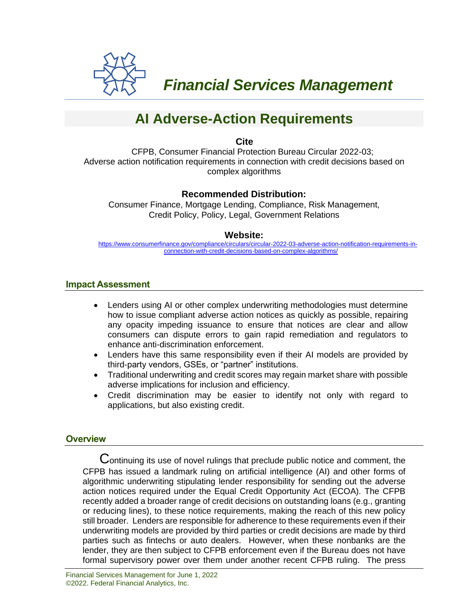

 *Financial Services Management* 

# **AI Adverse-Action Requirements**

**Cite**

CFPB, Consumer Financial Protection Bureau Circular 2022-03; Adverse action notification requirements in connection with credit decisions based on complex algorithms

# **Recommended Distribution:**

Consumer Finance, Mortgage Lending, Compliance, Risk Management, Credit Policy, Policy, Legal, Government Relations

### **Website:**

[https://www.consumerfinance.gov/compliance/circulars/circular-2022-03-adverse-action-notification-requirements-in](https://www.consumerfinance.gov/compliance/circulars/circular-2022-03-adverse-action-notification-requirements-in-connection-with-credit-decisions-based-on-complex-algorithms/)[connection-with-credit-decisions-based-on-complex-algorithms/](https://www.consumerfinance.gov/compliance/circulars/circular-2022-03-adverse-action-notification-requirements-in-connection-with-credit-decisions-based-on-complex-algorithms/)

## **Impact Assessment**

- Lenders using AI or other complex underwriting methodologies must determine how to issue compliant adverse action notices as quickly as possible, repairing any opacity impeding issuance to ensure that notices are clear and allow consumers can dispute errors to gain rapid remediation and regulators to enhance anti-discrimination enforcement.
- Lenders have this same responsibility even if their AI models are provided by third-party vendors, GSEs, or "partner" institutions.
- Traditional underwriting and credit scores may regain market share with possible adverse implications for inclusion and efficiency.
- Credit discrimination may be easier to identify not only with regard to applications, but also existing credit.

# **Overview**

 $C$  ontinuing its use of novel rulings that preclude public notice and comment, the CFPB has issued a landmark ruling on artificial intelligence (AI) and other forms of algorithmic underwriting stipulating lender responsibility for sending out the adverse action notices required under the Equal Credit Opportunity Act (ECOA). The CFPB recently added a broader range of credit decisions on outstanding loans (e.g., granting or reducing lines), to these notice requirements, making the reach of this new policy still broader. Lenders are responsible for adherence to these requirements even if their underwriting models are provided by third parties or credit decisions are made by third parties such as fintechs or auto dealers. However, when these nonbanks are the lender, they are then subject to CFPB enforcement even if the Bureau does not have formal supervisory power over them under another recent CFPB ruling. The press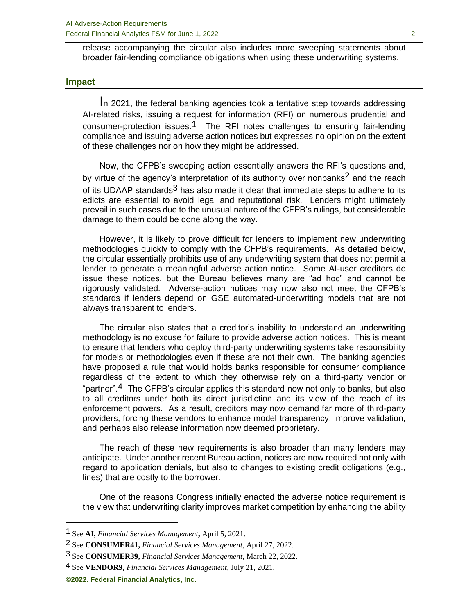release accompanying the circular also includes more sweeping statements about broader fair-lending compliance obligations when using these underwriting systems.

#### **Impact**

In 2021, the federal banking agencies took a tentative step towards addressing AI-related risks, issuing a request for information (RFI) on numerous prudential and consumer-protection issues.<sup>1</sup> The RFI notes challenges to ensuring fair-lending compliance and issuing adverse action notices but expresses no opinion on the extent of these challenges nor on how they might be addressed.

Now, the CFPB's sweeping action essentially answers the RFI's questions and, by virtue of the agency's interpretation of its authority over nonbanks<sup>2</sup> and the reach of its UDAAP standards<sup>3</sup> has also made it clear that immediate steps to adhere to its edicts are essential to avoid legal and reputational risk. Lenders might ultimately prevail in such cases due to the unusual nature of the CFPB's rulings, but considerable damage to them could be done along the way.

However, it is likely to prove difficult for lenders to implement new underwriting methodologies quickly to comply with the CFPB's requirements. As detailed below, the circular essentially prohibits use of any underwriting system that does not permit a lender to generate a meaningful adverse action notice. Some AI-user creditors do issue these notices, but the Bureau believes many are "ad hoc" and cannot be rigorously validated. Adverse-action notices may now also not meet the CFPB's standards if lenders depend on GSE automated-underwriting models that are not always transparent to lenders.

The circular also states that a creditor's inability to understand an underwriting methodology is no excuse for failure to provide adverse action notices. This is meant to ensure that lenders who deploy third-party underwriting systems take responsibility for models or methodologies even if these are not their own. The banking agencies have proposed a rule that would holds banks responsible for consumer compliance regardless of the extent to which they otherwise rely on a third-party vendor or "partner".<sup>4</sup> The CFPB's circular applies this standard now not only to banks, but also to all creditors under both its direct jurisdiction and its view of the reach of its enforcement powers. As a result, creditors may now demand far more of third-party providers, forcing these vendors to enhance model transparency, improve validation, and perhaps also release information now deemed proprietary.

The reach of these new requirements is also broader than many lenders may anticipate. Under another recent Bureau action, notices are now required not only with regard to application denials, but also to changes to existing credit obligations (e.g., lines) that are costly to the borrower.

One of the reasons Congress initially enacted the adverse notice requirement is the view that underwriting clarity improves market competition by enhancing the ability

<sup>1</sup> See **AI,** *Financial Services Management***,** April 5, 2021.

<sup>2</sup> See **CONSUMER41,** *Financial Services Management*, April 27, 2022.

<sup>3</sup> See **CONSUMER39,** *Financial Services Management*, March 22, 2022.

<sup>4</sup> See **VENDOR9,** *Financial Services Management*, July 21, 2021.